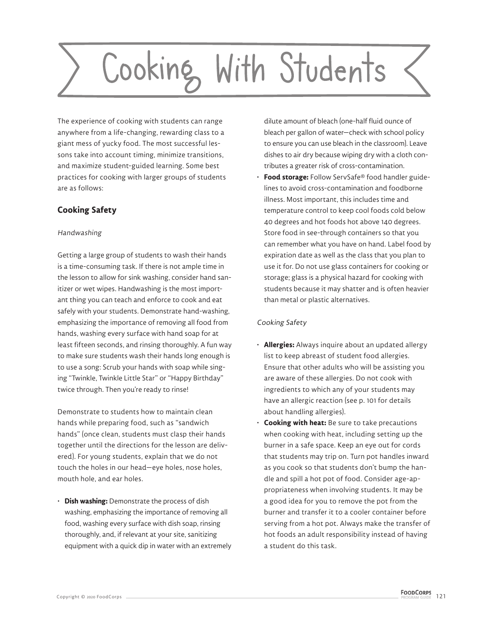# Cooking With Students

The experience of cooking with students can range anywhere from a life-changing, rewarding class to a giant mess of yucky food. The most successful lessons take into account timing, minimize transitions, and maximize student-guided learning. Some best practices for cooking with larger groups of students are as follows:

# **Cooking Safety**

## Handwashing

Getting a large group of students to wash their hands is a time-consuming task. If there is not ample time in the lesson to allow for sink washing, consider hand sanitizer or wet wipes. Handwashing is the most important thing you can teach and enforce to cook and eat safely with your students. Demonstrate hand-washing, emphasizing the importance of removing all food from hands, washing every surface with hand soap for at least fifteen seconds, and rinsing thoroughly. A fun way to make sure students wash their hands long enough is to use a song: Scrub your hands with soap while singing "Twinkle, Twinkle Little Star" or "Happy Birthday" twice through. Then you're ready to rinse!

Demonstrate to students how to maintain clean hands while preparing food, such as "sandwich hands" (once clean, students must clasp their hands together until the directions for the lesson are delivered). For young students, explain that we do not touch the holes in our head—eye holes, nose holes, mouth hole, and ear holes.

• **Dish washing:** Demonstrate the process of dish washing, emphasizing the importance of removing all food, washing every surface with dish soap, rinsing thoroughly, and, if relevant at your site, sanitizing equipment with a quick dip in water with an extremely dilute amount of bleach (one-half fluid ounce of bleach per gallon of water—check with school policy to ensure you can use bleach in the classroom). Leave dishes to air dry because wiping dry with a cloth contributes a greater risk of cross-contamination.

• **Food storage:** Follow ServSafe® food handler guidelines to avoid cross-contamination and foodborne illness. Most important, this includes time and temperature control to keep cool foods cold below 40 degrees and hot foods hot above 140 degrees. Store food in see-through containers so that you can remember what you have on hand. Label food by expiration date as well as the class that you plan to use it for. Do not use glass containers for cooking or storage; glass is a physical hazard for cooking with students because it may shatter and is often heavier than metal or plastic alternatives.

# Cooking Safety

- **Allergies:** Always inquire about an updated allergy list to keep abreast of student food allergies. Ensure that other adults who will be assisting you are aware of these allergies. Do not cook with ingredients to which any of your students may have an allergic reaction (see p. 101 for details about handling allergies).
- **Cooking with heat:** Be sure to take precautions when cooking with heat, including setting up the burner in a safe space. Keep an eye out for cords that students may trip on. Turn pot handles inward as you cook so that students don't bump the handle and spill a hot pot of food. Consider age-appropriateness when involving students. It may be a good idea for you to remove the pot from the burner and transfer it to a cooler container before serving from a hot pot. Always make the transfer of hot foods an adult responsibility instead of having a student do this task.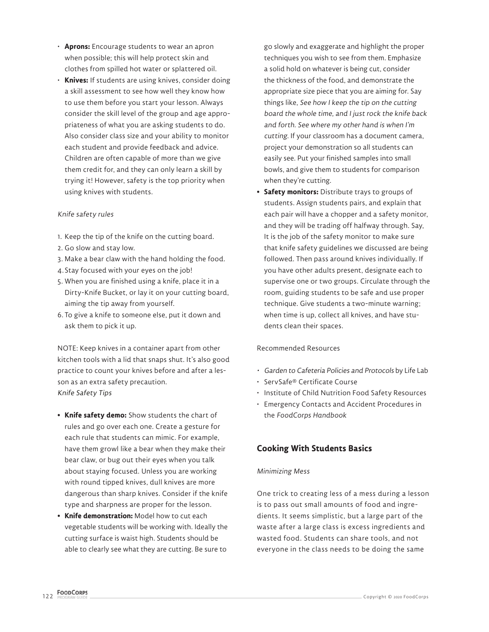- **Aprons:** Encourage students to wear an apron when possible; this will help protect skin and clothes from spilled hot water or splattered oil.
- **Knives:** If students are using knives, consider doing a skill assessment to see how well they know how to use them before you start your lesson. Always consider the skill level of the group and age appropriateness of what you are asking students to do. Also consider class size and your ability to monitor each student and provide feedback and advice. Children are often capable of more than we give them credit for, and they can only learn a skill by trying it! However, safety is the top priority when using knives with students.

### Knife safety rules

- 1. Keep the tip of the knife on the cutting board.
- 2. Go slow and stay low.
- 3. Make a bear claw with the hand holding the food.
- 4. Stay focused with your eyes on the job!
- 5. When you are finished using a knife, place it in a Dirty-Knife Bucket, or lay it on your cutting board, aiming the tip away from yourself.
- 6. To give a knife to someone else, put it down and ask them to pick it up.

NOTE: Keep knives in a container apart from other kitchen tools with a lid that snaps shut. It's also good practice to count your knives before and after a lesson as an extra safety precaution. Knife Safety Tips

- **Knife safety demo:** Show students the chart of rules and go over each one. Create a gesture for each rule that students can mimic. For example, have them growl like a bear when they make their bear claw, or bug out their eyes when you talk about staying focused. Unless you are working with round tipped knives, dull knives are more dangerous than sharp knives. Consider if the knife type and sharpness are proper for the lesson.
- **Knife demonstration:** Model how to cut each vegetable students will be working with. Ideally the cutting surface is waist high. Students should be able to clearly see what they are cutting. Be sure to

go slowly and exaggerate and highlight the proper techniques you wish to see from them. Emphasize a solid hold on whatever is being cut, consider the thickness of the food, and demonstrate the appropriate size piece that you are aiming for. Say things like, See how I keep the tip on the cutting board the whole time, and I just rock the knife back and forth. See where my other hand is when I'm cutting. If your classroom has a document camera, project your demonstration so all students can easily see. Put your finished samples into small bowls, and give them to students for comparison when they're cutting.

**• Safety monitors:** Distribute trays to groups of students. Assign students pairs, and explain that each pair will have a chopper and a safety monitor, and they will be trading off halfway through. Say, It is the job of the safety monitor to make sure that knife safety guidelines we discussed are being followed. Then pass around knives individually. If you have other adults present, designate each to supervise one or two groups. Circulate through the room, guiding students to be safe and use proper technique. Give students a two-minute warning; when time is up, collect all knives, and have students clean their spaces.

### Recommended Resources

- Garden to Cafeteria Policies and Protocols by Life Lab
- ServSafe® Certificate Course
- Institute of Child Nutrition Food Safety Resources
- Emergency Contacts and Accident Procedures in the *FoodCorps Handbook*

# **Cooking With Students Basics**

### Minimizing Mess

One trick to creating less of a mess during a lesson is to pass out small amounts of food and ingredients. It seems simplistic, but a large part of the waste after a large class is excess ingredients and wasted food. Students can share tools, and not everyone in the class needs to be doing the same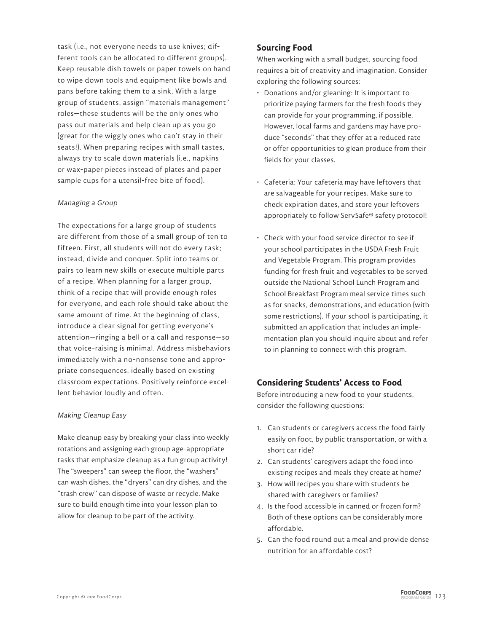task (i.e., not everyone needs to use knives; different tools can be allocated to different groups). Keep reusable dish towels or paper towels on hand to wipe down tools and equipment like bowls and pans before taking them to a sink. With a large group of students, assign "materials management" roles—these students will be the only ones who pass out materials and help clean up as you go (great for the wiggly ones who can't stay in their seats!). When preparing recipes with small tastes, always try to scale down materials (i.e., napkins or wax-paper pieces instead of plates and paper sample cups for a utensil-free bite of food).

### Managing a Group

The expectations for a large group of students are different from those of a small group of ten to fifteen. First, all students will not do every task; instead, divide and conquer. Split into teams or pairs to learn new skills or execute multiple parts of a recipe. When planning for a larger group, think of a recipe that will provide enough roles for everyone, and each role should take about the same amount of time. At the beginning of class, introduce a clear signal for getting everyone's attention—ringing a bell or a call and response—so that voice-raising is minimal. Address misbehaviors immediately with a no-nonsense tone and appropriate consequences, ideally based on existing classroom expectations. Positively reinforce excellent behavior loudly and often.

### Making Cleanup Easy

Make cleanup easy by breaking your class into weekly rotations and assigning each group age-appropriate tasks that emphasize cleanup as a fun group activity! The "sweepers" can sweep the floor, the "washers" can wash dishes, the "dryers" can dry dishes, and the "trash crew" can dispose of waste or recycle. Make sure to build enough time into your lesson plan to allow for cleanup to be part of the activity.

# **Sourcing Food**

When working with a small budget, sourcing food requires a bit of creativity and imagination. Consider exploring the following sources:

- Donations and/or gleaning: It is important to prioritize paying farmers for the fresh foods they can provide for your programming, if possible. However, local farms and gardens may have produce "seconds" that they offer at a reduced rate or offer opportunities to glean produce from their fields for your classes.
- Cafeteria: Your cafeteria may have leftovers that are salvageable for your recipes. Make sure to check expiration dates, and store your leftovers appropriately to follow ServSafe® safety protocol!
- Check with your food service director to see if your school participates in the USDA Fresh Fruit and Vegetable Program. This program provides funding for fresh fruit and vegetables to be served outside the National School Lunch Program and School Breakfast Program meal service times such as for snacks, demonstrations, and education (with some restrictions). If your school is participating, it submitted an application that includes an implementation plan you should inquire about and refer to in planning to connect with this program.

# **Considering Students' Access to Food**

Before introducing a new food to your students, consider the following questions:

- 1. Can students or caregivers access the food fairly easily on foot, by public transportation, or with a short car ride?
- 2. Can students' caregivers adapt the food into existing recipes and meals they create at home?
- 3. How will recipes you share with students be shared with caregivers or families?
- 4. Is the food accessible in canned or frozen form? Both of these options can be considerably more affordable.
- 5. Can the food round out a meal and provide dense nutrition for an affordable cost?